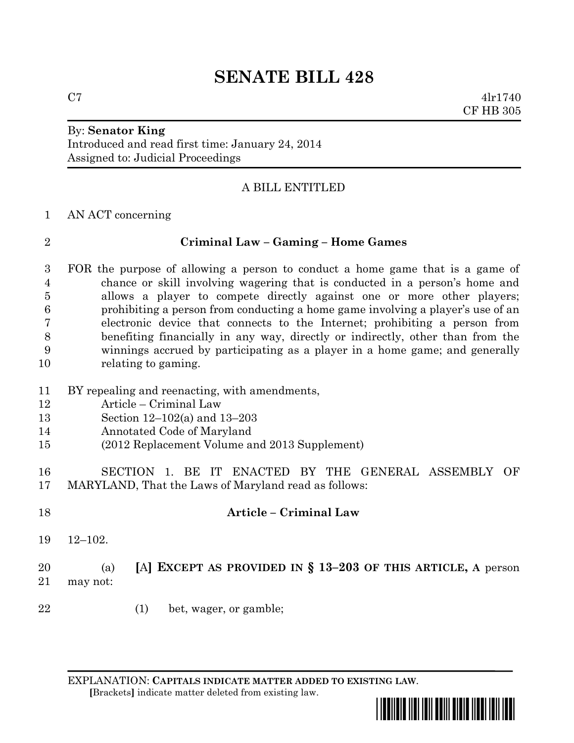# **SENATE BILL 428**

By: **Senator King**

Introduced and read first time: January 24, 2014 Assigned to: Judicial Proceedings

## A BILL ENTITLED

### AN ACT concerning

## **Criminal Law – Gaming – Home Games**

 FOR the purpose of allowing a person to conduct a home game that is a game of chance or skill involving wagering that is conducted in a person's home and allows a player to compete directly against one or more other players; prohibiting a person from conducting a home game involving a player's use of an electronic device that connects to the Internet; prohibiting a person from benefiting financially in any way, directly or indirectly, other than from the winnings accrued by participating as a player in a home game; and generally relating to gaming.

- BY repealing and reenacting, with amendments,
- Article Criminal Law
- Section 12–102(a) and 13–203
- Annotated Code of Maryland
- (2012 Replacement Volume and 2013 Supplement)

 SECTION 1. BE IT ENACTED BY THE GENERAL ASSEMBLY OF MARYLAND, That the Laws of Maryland read as follows:

- **Article – Criminal Law** 12–102. (a) **[**A**] EXCEPT AS PROVIDED IN § 13–203 OF THIS ARTICLE, A** person may not:
- 22 (1) bet, wager, or gamble;

EXPLANATION: **CAPITALS INDICATE MATTER ADDED TO EXISTING LAW**.  **[**Brackets**]** indicate matter deleted from existing law.



 $C7$  4lr1740 CF HB 305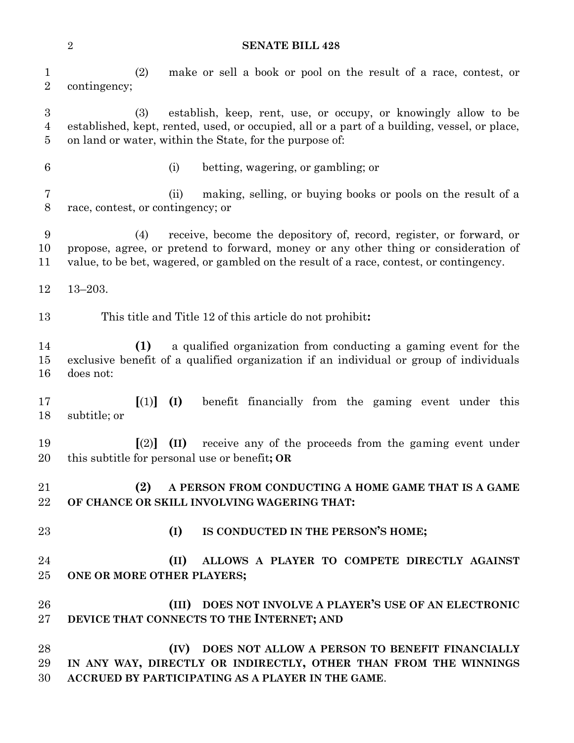#### **SENATE BILL 428**

| $\mathbf{1}$<br>$\overline{2}$        | make or sell a book or pool on the result of a race, contest, or<br>(2)<br>contingency;                                                                                                                                                                      |
|---------------------------------------|--------------------------------------------------------------------------------------------------------------------------------------------------------------------------------------------------------------------------------------------------------------|
| 3<br>$\overline{4}$<br>$\overline{5}$ | establish, keep, rent, use, or occupy, or knowingly allow to be<br>(3)<br>established, kept, rented, used, or occupied, all or a part of a building, vessel, or place,<br>on land or water, within the State, for the purpose of:                            |
| 6                                     | betting, wagering, or gambling; or<br>(i)                                                                                                                                                                                                                    |
| $\overline{7}$<br>$8\,$               | making, selling, or buying books or pools on the result of a<br>(ii)<br>race, contest, or contingency; or                                                                                                                                                    |
| 9<br>10<br>11                         | receive, become the depository of, record, register, or forward, or<br>(4)<br>propose, agree, or pretend to forward, money or any other thing or consideration of<br>value, to be bet, wagered, or gambled on the result of a race, contest, or contingency. |
| 12                                    | $13 - 203.$                                                                                                                                                                                                                                                  |
| 13                                    | This title and Title 12 of this article do not prohibit:                                                                                                                                                                                                     |
| 14<br>15<br>16                        | (1)<br>a qualified organization from conducting a gaming event for the<br>exclusive benefit of a qualified organization if an individual or group of individuals<br>does not:                                                                                |
| 17<br>18                              | $\left[ (1) \right]$<br>benefit financially from the gaming event under this<br>(I)<br>subtitle; or                                                                                                                                                          |
| 19<br>20                              | (II) receive any of the proceeds from the gaming event under<br>$\lceil (2) \rceil$<br>this subtitle for personal use or benefit; OR                                                                                                                         |
| 21<br>22                              | (2)<br>A PERSON FROM CONDUCTING A HOME GAME THAT IS A GAME<br>OF CHANCE OR SKILL INVOLVING WAGERING THAT:                                                                                                                                                    |
| 23                                    | (I)<br>IS CONDUCTED IN THE PERSON'S HOME;                                                                                                                                                                                                                    |
| 24<br>25                              | (II)<br>ALLOWS A PLAYER TO COMPETE DIRECTLY AGAINST<br>ONE OR MORE OTHER PLAYERS;                                                                                                                                                                            |
| 26<br>27                              | (III) DOES NOT INVOLVE A PLAYER'S USE OF AN ELECTRONIC<br>DEVICE THAT CONNECTS TO THE INTERNET; AND                                                                                                                                                          |
| 28<br>29<br>30                        | DOES NOT ALLOW A PERSON TO BENEFIT FINANCIALLY<br>(IV)<br>IN ANY WAY, DIRECTLY OR INDIRECTLY, OTHER THAN FROM THE WINNINGS<br>ACCRUED BY PARTICIPATING AS A PLAYER IN THE GAME.                                                                              |